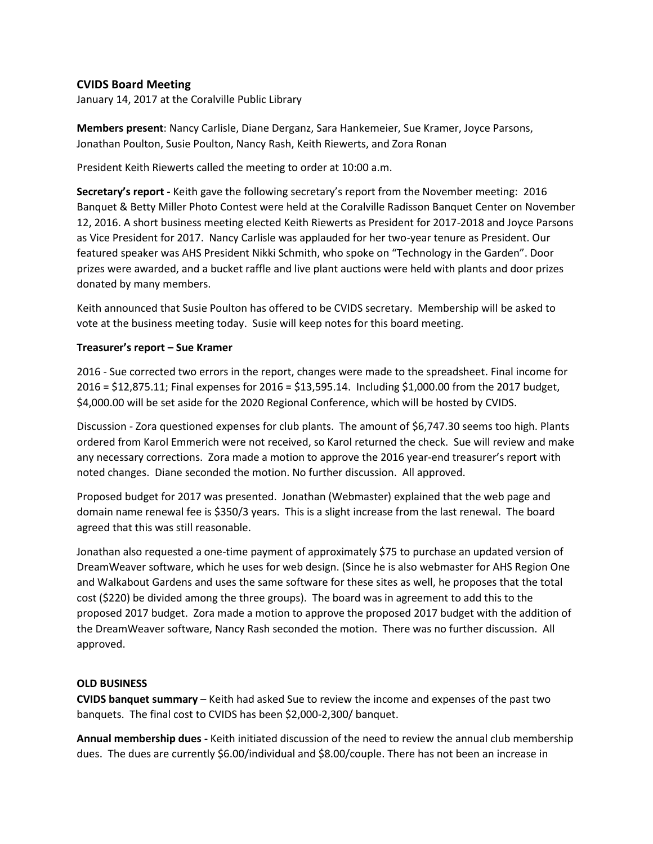## **CVIDS Board Meeting**

January 14, 2017 at the Coralville Public Library

**Members present**: Nancy Carlisle, Diane Derganz, Sara Hankemeier, Sue Kramer, Joyce Parsons, Jonathan Poulton, Susie Poulton, Nancy Rash, Keith Riewerts, and Zora Ronan

President Keith Riewerts called the meeting to order at 10:00 a.m.

**Secretary's report -** Keith gave the following secretary's report from the November meeting: 2016 Banquet & Betty Miller Photo Contest were held at the Coralville Radisson Banquet Center on November 12, 2016. A short business meeting elected Keith Riewerts as President for 2017-2018 and Joyce Parsons as Vice President for 2017. Nancy Carlisle was applauded for her two-year tenure as President. Our featured speaker was AHS President Nikki Schmith, who spoke on "Technology in the Garden". Door prizes were awarded, and a bucket raffle and live plant auctions were held with plants and door prizes donated by many members.

Keith announced that Susie Poulton has offered to be CVIDS secretary. Membership will be asked to vote at the business meeting today. Susie will keep notes for this board meeting.

## **Treasurer's report – Sue Kramer**

2016 - Sue corrected two errors in the report, changes were made to the spreadsheet. Final income for 2016 = \$12,875.11; Final expenses for 2016 = \$13,595.14. Including \$1,000.00 from the 2017 budget, \$4,000.00 will be set aside for the 2020 Regional Conference, which will be hosted by CVIDS.

Discussion - Zora questioned expenses for club plants. The amount of \$6,747.30 seems too high. Plants ordered from Karol Emmerich were not received, so Karol returned the check. Sue will review and make any necessary corrections. Zora made a motion to approve the 2016 year-end treasurer's report with noted changes. Diane seconded the motion. No further discussion. All approved.

Proposed budget for 2017 was presented. Jonathan (Webmaster) explained that the web page and domain name renewal fee is \$350/3 years. This is a slight increase from the last renewal. The board agreed that this was still reasonable.

Jonathan also requested a one-time payment of approximately \$75 to purchase an updated version of DreamWeaver software, which he uses for web design. (Since he is also webmaster for AHS Region One and Walkabout Gardens and uses the same software for these sites as well, he proposes that the total cost (\$220) be divided among the three groups). The board was in agreement to add this to the proposed 2017 budget. Zora made a motion to approve the proposed 2017 budget with the addition of the DreamWeaver software, Nancy Rash seconded the motion. There was no further discussion. All approved.

## **OLD BUSINESS**

**CVIDS banquet summary** – Keith had asked Sue to review the income and expenses of the past two banquets. The final cost to CVIDS has been \$2,000-2,300/ banquet.

**Annual membership dues -** Keith initiated discussion of the need to review the annual club membership dues. The dues are currently \$6.00/individual and \$8.00/couple. There has not been an increase in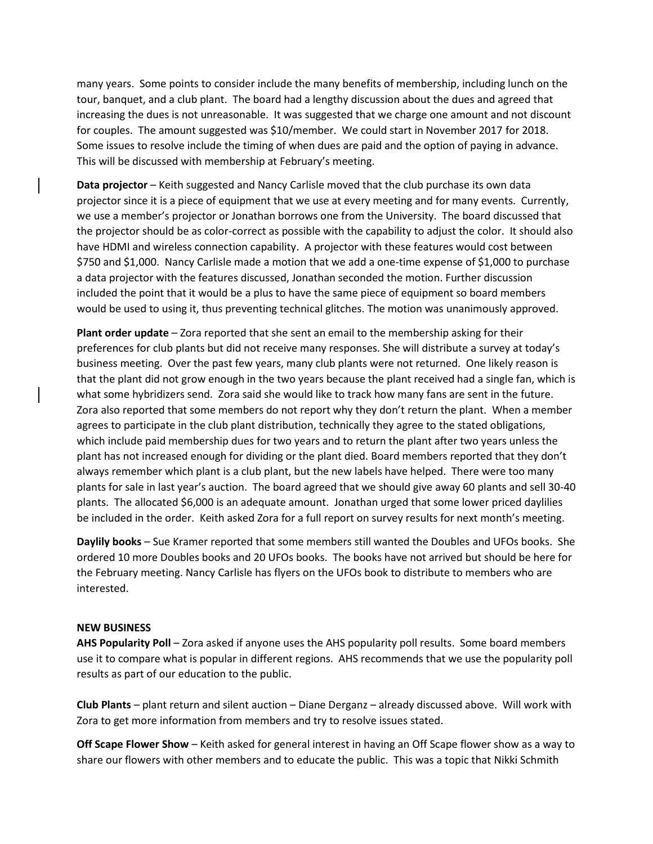many years. Some points to consider include the many benefits of membership, including lunch on the tour, banquet, and a club plant. The board had a lengthy discussion about the dues and agreed that increasing the dues is not unreasonable. It was suggested that we charge one amount and not discount for couples. The amount suggested was \$10/member. We could start in November 2017 for 2018. Some issues to resolve include the timing of when dues are paid and the option of paying in advance. This will be discussed with membership at February's meeting.

**Data projector** – Keith suggested and Nancy Carlisle moved that the club purchase its own data projector since it is a piece of equipment that we use at every meeting and for many events. Currently, we use a member's projector or Jonathan borrows one from the University. The board discussed that the projector should be as color-correct as possible with the capability to adjust the color. It should also have HDMI and wireless connection capability. A projector with these features would cost between \$750 and \$1,000. Nancy Carlisle made a motion that we add a one-time expense of \$1,000 to purchase a data projector with the features discussed, Jonathan seconded the motion. Further discussion included the point that it would be a plus to have the same piece of equipment so board members would be used to using it, thus preventing technical glitches. The motion was unanimously approved.

**Plant order update** – Zora reported that she sent an email to the membership asking for their preferences for club plants but did not receive many responses. She will distribute a survey at today's business meeting. Over the past few years, many club plants were not returned. One likely reason is that the plant did not grow enough in the two years because the plant received had a single fan, which is what some hybridizers send. Zora said she would like to track how many fans are sent in the future. Zora also reported that some members do not report why they don't return the plant. When a member agrees to participate in the club plant distribution, technically they agree to the stated obligations, which include paid membership dues for two years and to return the plant after two years unless the plant has not increased enough for dividing or the plant died. Board members reported that they don't always remember which plant is a club plant, but the new labels have helped. There were too many plants for sale in last year's auction. The board agreed that we should give away 60 plants and sell 30-40 plants. The allocated \$6,000 is an adequate amount. Jonathan urged that some lower priced daylilies be included in the order. Keith asked Zora for a full report on survey results for next month's meeting.

**Daylily books** – Sue Kramer reported that some members still wanted the Doubles and UFOs books. She ordered 10 more Doubles books and 20 UFOs books. The books have not arrived but should be here for the February meeting. Nancy Carlisle has flyers on the UFOs book to distribute to members who are interested.

## **NEW BUSINESS**

**AHS Popularity Poll** – Zora asked if anyone uses the AHS popularity poll results. Some board members use it to compare what is popular in different regions. AHS recommends that we use the popularity poll results as part of our education to the public.

**Club Plants** – plant return and silent auction – Diane Derganz – already discussed above. Will work with Zora to get more information from members and try to resolve issues stated.

**Off Scape Flower Show** – Keith asked for general interest in having an Off Scape flower show as a way to share our flowers with other members and to educate the public. This was a topic that Nikki Schmith